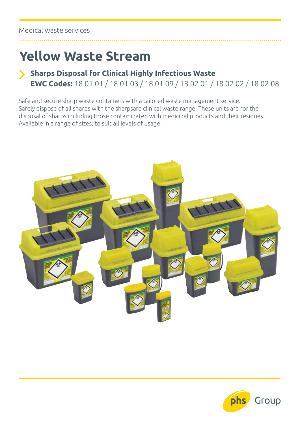## **Yellow Waste Stream**

## **Sharps Disposal for Clinical Highly Infectious Waste EWC Codes:** 18 01 01 / 18 01 03 / 18 01 09 / 18 02 01 / 18 02 02 / 18 02 08

Safe and secure sharp waste containers with a tailored waste management service. Safely dispose of all sharps with the sharpsafe clinical waste range. These units are for the disposal of sharps including those contaminated with medicinal products and their residues. Available in a range of sizes, to suit all levels of usage.



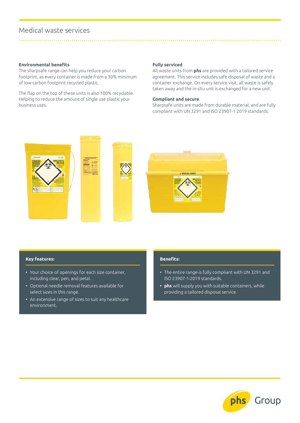### Medical waste services

#### **Environmental benefits**

The sharpsafe range can help you reduce your carbon footprint, as every container is made from a 30% minimum of low carbon footprint recycled plastic.

The flap on the top of these units is also 100% recyclable. Helping to reduce the amount of single use plastic your business uses.

#### **Fully serviced**

All waste units from **phs** are provided with a tailored service agreement. This service includes safe disposal of waste and a container exchange. On every service visit, all waste is safely taken away and the in-situ unit is exchanged for a new unit.

#### **Compliant and secure**

Sharpsafe units are made from durable material, and are fully complaint with UN 3291 and ISO 23907-1:2019 standards.



#### **Key features:**

- Your choice of openings for each size container, including clear, pen, and petal.
- Optional needle removal features available for select sizes in this range.
- An extensive range of sizes to suit any healthcare environment.

#### **Benefits:**

- The entire range is fully compliant with UN 3291 and ISO 23907-1:2019 standards.
- **• phs** will supply you with suitable containers, while providing a tailored disposal service.

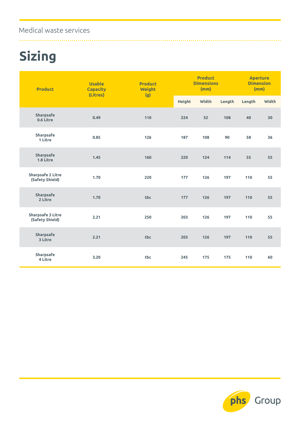### Medical waste services

# **Sizing**

| <b>Product</b>                              | <b>Usable</b><br><b>Capacity</b><br>(Litres) | <b>Product</b><br><b>Weight</b><br>(g) | <b>Product</b><br><b>Dimensions</b><br>(mm) |              |        | <b>Aperture</b><br><b>Dimension</b><br>(mm) |              |
|---------------------------------------------|----------------------------------------------|----------------------------------------|---------------------------------------------|--------------|--------|---------------------------------------------|--------------|
|                                             |                                              |                                        | <b>Height</b>                               | <b>Width</b> | Length | Length                                      | <b>Width</b> |
| <b>Sharpsafe</b><br>0.6 Litre               | 0.49                                         | 110                                    | 224                                         | 52           | 108    | 40                                          | 30           |
| <b>Sharpsafe</b><br>1 Litre                 | 0.85                                         | 126                                    | 187                                         | 108          | 90     | 58                                          | 36           |
| Sharpsafe<br>1.8 Litre                      | 1.45                                         | 160                                    | 220                                         | 124          | 114    | 55                                          | 55           |
| <b>Sharpsafe 2 Litre</b><br>(Safety Shield) | 1.70                                         | 220                                    | 177                                         | 126          | 197    | 110                                         | 55           |
| <b>Sharpsafe</b><br>2 Litre                 | 1.70                                         | tbc                                    | 177                                         | 126          | 197    | 110                                         | 55           |
| <b>Sharpsafe 3 Litre</b><br>(Safety Shield) | 2.21                                         | 250                                    | 203                                         | 126          | 197    | 110                                         | 55           |
| <b>Sharpsafe</b><br>3 Litre                 | 2.21                                         | tbc                                    | 203                                         | 126          | 197    | 110                                         | 55           |
| Sharpsafe<br>4 Litre                        | 3.20                                         | tbc                                    | 245                                         | 175          | 175    | 110                                         | 60           |